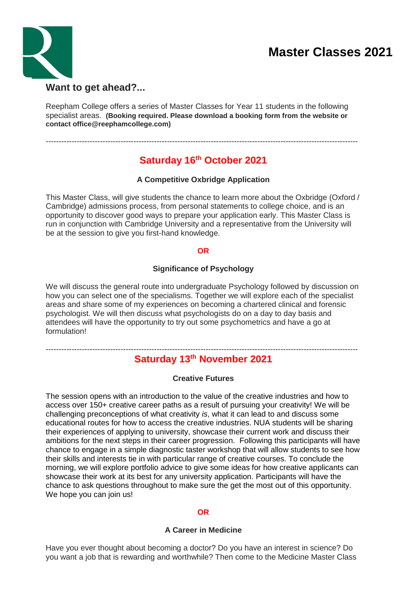# **Master Classes 2021**



Reepham College offers a series of Master Classes for Year 11 students in the following specialist areas. **(Booking required. Please download a booking form from the website or contact office@reephamcollege.com)**

-------------------------------------------------------------------------------------------------------------------------

## **Saturday 16th October 2021**

### **A Competitive Oxbridge Application**

This Master Class, will give students the chance to learn more about the Oxbridge (Oxford / Cambridge) admissions process, from personal statements to college choice, and is an opportunity to discover good ways to prepare your application early. This Master Class is run in conjunction with Cambridge University and a representative from the University will be at the session to give you first-hand knowledge.

#### **OR**

#### **Significance of Psychology**

We will discuss the general route into undergraduate Psychology followed by discussion on how you can select one of the specialisms. Together we will explore each of the specialist areas and share some of my experiences on becoming a chartered clinical and forensic psychologist. We will then discuss what psychologists do on a day to day basis and attendees will have the opportunity to try out some psychometrics and have a go at formulation!

### **Saturday 13th November 2021**

-------------------------------------------------------------------------------------------------------------------------

#### **Creative Futures**

The session opens with an introduction to the value of the creative industries and how to access over 150+ creative career paths as a result of pursuing your creativity! We will be challenging preconceptions of what creativity *is*, what it can lead to and discuss some educational routes for how to access the creative industries. NUA students will be sharing their experiences of applying to university, showcase their current work and discuss their ambitions for the next steps in their career progression. Following this participants will have chance to engage in a simple diagnostic taster workshop that will allow students to see how their skills and interests tie in with particular range of creative courses. To conclude the morning, we will explore portfolio advice to give some ideas for how creative applicants can showcase their work at its best for any university application. Participants will have the chance to ask questions throughout to make sure the get the most out of this opportunity. We hope you can join us!

#### **OR**

#### **A Career in Medicine**

Have you ever thought about becoming a doctor? Do you have an interest in science? Do you want a job that is rewarding and worthwhile? Then come to the Medicine Master Class